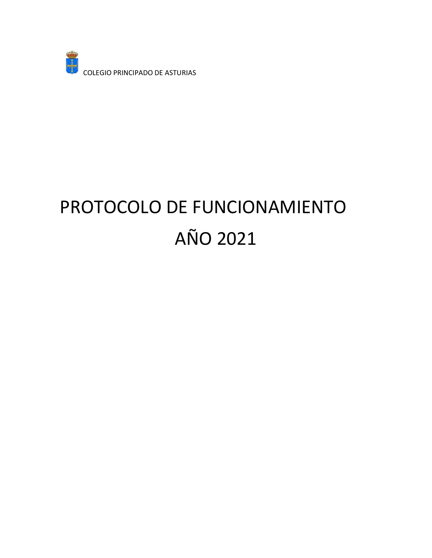

# PROTOCOLO DE FUNCIONAMIENTO AÑO 2021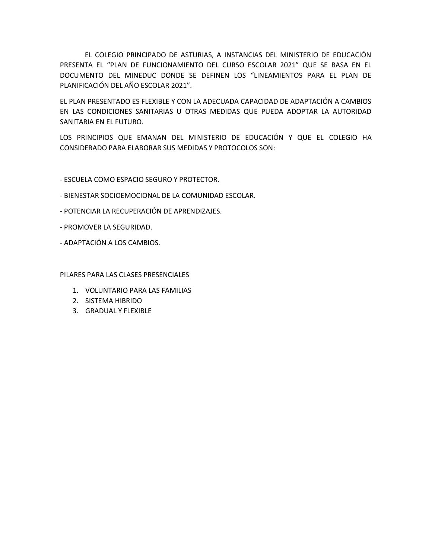EL COLEGIO PRINCIPADO DE ASTURIAS, A INSTANCIAS DEL MINISTERIO DE EDUCACIÓN PRESENTA EL "PLAN DE FUNCIONAMIENTO DEL CURSO ESCOLAR 2021" QUE SE BASA EN EL DOCUMENTO DEL MINEDUC DONDE SE DEFINEN LOS "LINEAMIENTOS PARA EL PLAN DE PLANIFICACIÓN DEL AÑO ESCOLAR 2021".

EL PLAN PRESENTADO ES FLEXIBLE Y CON LA ADECUADA CAPACIDAD DE ADAPTACIÓN A CAMBIOS EN LAS CONDICIONES SANITARIAS U OTRAS MEDIDAS QUE PUEDA ADOPTAR LA AUTORIDAD SANITARIA EN EL FUTURO.

LOS PRINCIPIOS QUE EMANAN DEL MINISTERIO DE EDUCACIÓN Y QUE EL COLEGIO HA CONSIDERADO PARA ELABORAR SUS MEDIDAS Y PROTOCOLOS SON:

- ESCUELA COMO ESPACIO SEGURO Y PROTECTOR.

- BIENESTAR SOCIOEMOCIONAL DE LA COMUNIDAD ESCOLAR.
- POTENCIAR LA RECUPERACIÓN DE APRENDIZAJES.
- PROMOVER LA SEGURIDAD.
- ADAPTACIÓN A LOS CAMBIOS.

PILARES PARA LAS CLASES PRESENCIALES

- 1. VOLUNTARIO PARA LAS FAMILIAS
- 2. SISTEMA HIBRIDO
- 3. GRADUAL Y FLEXIBLE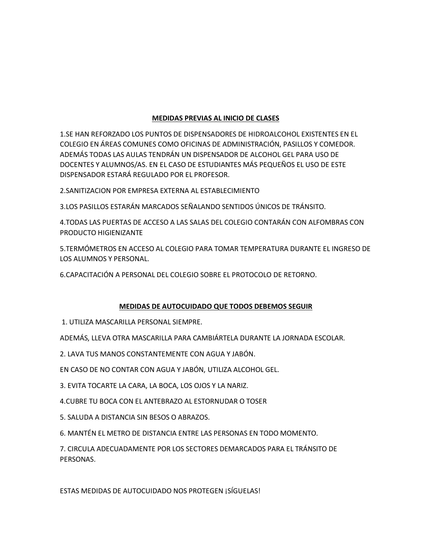# **MEDIDAS PREVIAS AL INICIO DE CLASES**

1.SE HAN REFORZADO LOS PUNTOS DE DISPENSADORES DE HIDROALCOHOL EXISTENTES EN EL COLEGIO EN ÁREAS COMUNES COMO OFICINAS DE ADMINISTRACIÓN, PASILLOS Y COMEDOR. ADEMÁS TODAS LAS AULAS TENDRÁN UN DISPENSADOR DE ALCOHOL GEL PARA USO DE DOCENTES Y ALUMNOS/AS. EN EL CASO DE ESTUDIANTES MÁS PEQUEÑOS EL USO DE ESTE DISPENSADOR ESTARÁ REGULADO POR EL PROFESOR.

2.SANITIZACION POR EMPRESA EXTERNA AL ESTABLECIMIENTO

3.LOS PASILLOS ESTARÁN MARCADOS SEÑALANDO SENTIDOS ÚNICOS DE TRÁNSITO.

4.TODAS LAS PUERTAS DE ACCESO A LAS SALAS DEL COLEGIO CONTARÁN CON ALFOMBRAS CON PRODUCTO HIGIENIZANTE

5.TERMÓMETROS EN ACCESO AL COLEGIO PARA TOMAR TEMPERATURA DURANTE EL INGRESO DE LOS ALUMNOS Y PERSONAL.

6.CAPACITACIÓN A PERSONAL DEL COLEGIO SOBRE EL PROTOCOLO DE RETORNO.

## **MEDIDAS DE AUTOCUIDADO QUE TODOS DEBEMOS SEGUIR**

1. UTILIZA MASCARILLA PERSONAL SIEMPRE.

ADEMÁS, LLEVA OTRA MASCARILLA PARA CAMBIÁRTELA DURANTE LA JORNADA ESCOLAR.

2. LAVA TUS MANOS CONSTANTEMENTE CON AGUA Y JABÓN.

EN CASO DE NO CONTAR CON AGUA Y JABÓN, UTILIZA ALCOHOL GEL.

- 3. EVITA TOCARTE LA CARA, LA BOCA, LOS OJOS Y LA NARIZ.
- 4.CUBRE TU BOCA CON EL ANTEBRAZO AL ESTORNUDAR O TOSER
- 5. SALUDA A DISTANCIA SIN BESOS O ABRAZOS.
- 6. MANTÉN EL METRO DE DISTANCIA ENTRE LAS PERSONAS EN TODO MOMENTO.

7. CIRCULA ADECUADAMENTE POR LOS SECTORES DEMARCADOS PARA EL TRÁNSITO DE PERSONAS.

ESTAS MEDIDAS DE AUTOCUIDADO NOS PROTEGEN ¡SÍGUELAS!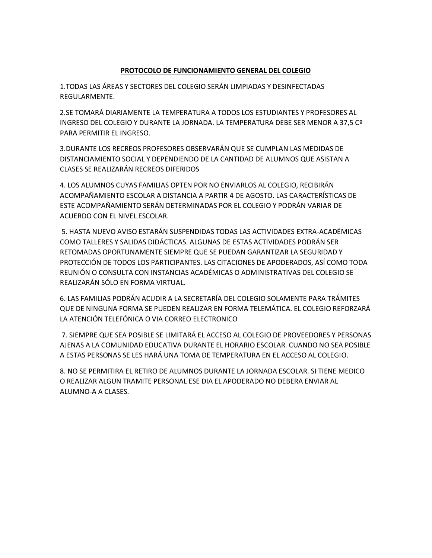## **PROTOCOLO DE FUNCIONAMIENTO GENERAL DEL COLEGIO**

1.TODAS LAS ÁREAS Y SECTORES DEL COLEGIO SERÁN LIMPIADAS Y DESINFECTADAS REGULARMENTE.

2.SE TOMARÁ DIARIAMENTE LA TEMPERATURA A TODOS LOS ESTUDIANTES Y PROFESORES AL INGRESO DEL COLEGIO Y DURANTE LA JORNADA. LA TEMPERATURA DEBE SER MENOR A 37,5 Cº PARA PERMITIR EL INGRESO.

3.DURANTE LOS RECREOS PROFESORES OBSERVARÁN QUE SE CUMPLAN LAS MEDIDAS DE DISTANCIAMIENTO SOCIAL Y DEPENDIENDO DE LA CANTIDAD DE ALUMNOS QUE ASISTAN A CLASES SE REALIZARÁN RECREOS DIFERIDOS

4. LOS ALUMNOS CUYAS FAMILIAS OPTEN POR NO ENVIARLOS AL COLEGIO, RECIBIRÁN ACOMPAÑAMIENTO ESCOLAR A DISTANCIA A PARTIR 4 DE AGOSTO. LAS CARACTERÍSTICAS DE ESTE ACOMPAÑAMIENTO SERÁN DETERMINADAS POR EL COLEGIO Y PODRÁN VARIAR DE ACUERDO CON EL NIVEL ESCOLAR.

5. HASTA NUEVO AVISO ESTARÁN SUSPENDIDAS TODAS LAS ACTIVIDADES EXTRA-ACADÉMICAS COMO TALLERES Y SALIDAS DIDÁCTICAS. ALGUNAS DE ESTAS ACTIVIDADES PODRÁN SER RETOMADAS OPORTUNAMENTE SIEMPRE QUE SE PUEDAN GARANTIZAR LA SEGURIDAD Y PROTECCIÓN DE TODOS LOS PARTICIPANTES. LAS CITACIONES DE APODERADOS, ASÍ COMO TODA REUNIÓN O CONSULTA CON INSTANCIAS ACADÉMICAS O ADMINISTRATIVAS DEL COLEGIO SE REALIZARÁN SÓLO EN FORMA VIRTUAL.

6. LAS FAMILIAS PODRÁN ACUDIR A LA SECRETARÍA DEL COLEGIO SOLAMENTE PARA TRÁMITES QUE DE NINGUNA FORMA SE PUEDEN REALIZAR EN FORMA TELEMÁTICA. EL COLEGIO REFORZARÁ LA ATENCIÓN TELEFÓNICA O VIA CORREO ELECTRONICO

7. SIEMPRE QUE SEA POSIBLE SE LIMITARÁ EL ACCESO AL COLEGIO DE PROVEEDORES Y PERSONAS AJENAS A LA COMUNIDAD EDUCATIVA DURANTE EL HORARIO ESCOLAR. CUANDO NO SEA POSIBLE A ESTAS PERSONAS SE LES HARÁ UNA TOMA DE TEMPERATURA EN EL ACCESO AL COLEGIO.

8. NO SE PERMITIRA EL RETIRO DE ALUMNOS DURANTE LA JORNADA ESCOLAR. SI TIENE MEDICO O REALIZAR ALGUN TRAMITE PERSONAL ESE DIA EL APODERADO NO DEBERA ENVIAR AL ALUMNO-A A CLASES.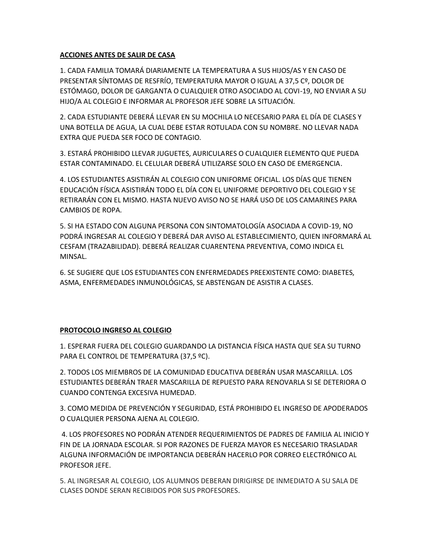## **ACCIONES ANTES DE SALIR DE CASA**

1. CADA FAMILIA TOMARÁ DIARIAMENTE LA TEMPERATURA A SUS HIJOS/AS Y EN CASO DE PRESENTAR SÍNTOMAS DE RESFRÍO, TEMPERATURA MAYOR O IGUAL A 37,5 Cº, DOLOR DE ESTÓMAGO, DOLOR DE GARGANTA O CUALQUIER OTRO ASOCIADO AL COVI-19, NO ENVIAR A SU HIJO/A AL COLEGIO E INFORMAR AL PROFESOR JEFE SOBRE LA SITUACIÓN.

2. CADA ESTUDIANTE DEBERÁ LLEVAR EN SU MOCHILA LO NECESARIO PARA EL DÍA DE CLASES Y UNA BOTELLA DE AGUA, LA CUAL DEBE ESTAR ROTULADA CON SU NOMBRE. NO LLEVAR NADA EXTRA QUE PUEDA SER FOCO DE CONTAGIO.

3. ESTARÁ PROHIBIDO LLEVAR JUGUETES, AURICULARES O CUALQUIER ELEMENTO QUE PUEDA ESTAR CONTAMINADO. EL CELULAR DEBERÁ UTILIZARSE SOLO EN CASO DE EMERGENCIA.

4. LOS ESTUDIANTES ASISTIRÁN AL COLEGIO CON UNIFORME OFICIAL. LOS DÍAS QUE TIENEN EDUCACIÓN FÍSICA ASISTIRÁN TODO EL DÍA CON EL UNIFORME DEPORTIVO DEL COLEGIO Y SE RETIRARÁN CON EL MISMO. HASTA NUEVO AVISO NO SE HARÁ USO DE LOS CAMARINES PARA CAMBIOS DE ROPA.

5. SI HA ESTADO CON ALGUNA PERSONA CON SINTOMATOLOGÍA ASOCIADA A COVID-19, NO PODRÁ INGRESAR AL COLEGIO Y DEBERÁ DAR AVISO AL ESTABLECIMIENTO, QUIEN INFORMARÁ AL CESFAM (TRAZABILIDAD). DEBERÁ REALIZAR CUARENTENA PREVENTIVA, COMO INDICA EL MINSAL.

6. SE SUGIERE QUE LOS ESTUDIANTES CON ENFERMEDADES PREEXISTENTE COMO: DIABETES, ASMA, ENFERMEDADES INMUNOLÓGICAS, SE ABSTENGAN DE ASISTIR A CLASES.

# **PROTOCOLO INGRESO AL COLEGIO**

1. ESPERAR FUERA DEL COLEGIO GUARDANDO LA DISTANCIA FÍSICA HASTA QUE SEA SU TURNO PARA EL CONTROL DE TEMPERATURA (37,5 ºC).

2. TODOS LOS MIEMBROS DE LA COMUNIDAD EDUCATIVA DEBERÁN USAR MASCARILLA. LOS ESTUDIANTES DEBERÁN TRAER MASCARILLA DE REPUESTO PARA RENOVARLA SI SE DETERIORA O CUANDO CONTENGA EXCESIVA HUMEDAD.

3. COMO MEDIDA DE PREVENCIÓN Y SEGURIDAD, ESTÁ PROHIBIDO EL INGRESO DE APODERADOS O CUALQUIER PERSONA AJENA AL COLEGIO.

4. LOS PROFESORES NO PODRÁN ATENDER REQUERIMIENTOS DE PADRES DE FAMILIA AL INICIO Y FIN DE LA JORNADA ESCOLAR. SI POR RAZONES DE FUERZA MAYOR ES NECESARIO TRASLADAR ALGUNA INFORMACIÓN DE IMPORTANCIA DEBERÁN HACERLO POR CORREO ELECTRÓNICO AL PROFESOR JEFE.

5. AL INGRESAR AL COLEGIO, LOS ALUMNOS DEBERAN DIRIGIRSE DE INMEDIATO A SU SALA DE CLASES DONDE SERAN RECIBIDOS POR SUS PROFESORES.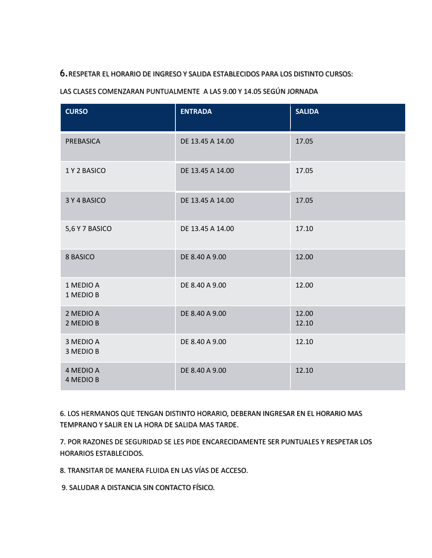# 6.RESPETAR EL HORARIO DE INGRESO Y SALIDA ESTABLECIDOS PARA LOS DISTINTO CURSOS:

| <b>CURSO</b>           | <b>ENTRADA</b>   | <b>SALIDA</b>  |
|------------------------|------------------|----------------|
| PREBASICA              | DE 13.45 A 14.00 | 17.05          |
| 1 Y 2 BASICO           | DE 13.45 A 14.00 | 17.05          |
| 3 Y 4 BASICO           | DE 13.45 A 14.00 | 17.05          |
| 5,6 Y 7 BASICO         | DE 13.45 A 14.00 | 17.10          |
| 8 BASICO               | DE 8.40 A 9.00   | 12.00          |
| 1 MEDIO A<br>1 MEDIO B | DE 8.40 A 9.00   | 12.00          |
| 2 MEDIO A<br>2 MEDIO B | DE 8.40 A 9.00   | 12.00<br>12.10 |
| 3 MEDIO A<br>3 MEDIO B | DE 8.40 A 9.00   | 12.10          |
| 4 MEDIO A<br>4 MEDIO B | DE 8.40 A 9.00   | 12.10          |

# LAS CLASES COMENZARAN PUNTUALMENTE A LAS 9.00 Y 14.05 SEGÚN JORNADA

6. LOS HERMANOS QUE TENGAN DISTINTO HORARIO, DEBERAN INGRESAR EN EL HORARIO MAS TEMPRANO Y SALIR EN LA HORA DE SALIDA MAS TARDE.

7. POR RAZONES DE SEGURIDAD SE LES PIDE ENCARECIDAMENTE SER PUNTUALES Y RESPETAR LOS HORARIOS ESTABLECIDOS.

8. TRANSITAR DE MANERA FLUIDA EN LAS VÍAS DE ACCESO.

9. SALUDAR A DISTANCIA SIN CONTACTO FÍSICO.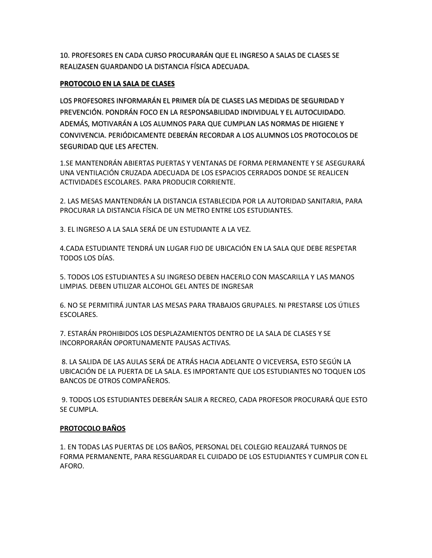10. PROFESORES EN CADA CURSO PROCURARÁN QUE EL INGRESO A SALAS DE CLASES SE REALIZASEN GUARDANDO LA DISTANCIA FÍSICA ADECUADA.

# **PROTOCOLO EN LA SALA DE CLASES**

LOS PROFESORES INFORMARÁN EL PRIMER DÍA DE CLASES LAS MEDIDAS DE SEGURIDAD Y PREVENCIÓN. PONDRÁN FOCO EN LA RESPONSABILIDAD INDIVIDUAL Y EL AUTOCUIDADO. ADEMÁS, MOTIVARÁN A LOS ALUMNOS PARA QUE CUMPLAN LAS NORMAS DE HIGIENE Y CONVIVENCIA. PERIÓDICAMENTE DEBERÁN RECORDAR A LOS ALUMNOS LOS PROTOCOLOS DE SEGURIDAD QUE LES AFECTEN.

1.SE MANTENDRÁN ABIERTAS PUERTAS Y VENTANAS DE FORMA PERMANENTE Y SE ASEGURARÁ UNA VENTILACIÓN CRUZADA ADECUADA DE LOS ESPACIOS CERRADOS DONDE SE REALICEN ACTIVIDADES ESCOLARES. PARA PRODUCIR CORRIENTE.

2. LAS MESAS MANTENDRÁN LA DISTANCIA ESTABLECIDA POR LA AUTORIDAD SANITARIA, PARA PROCURAR LA DISTANCIA FÍSICA DE UN METRO ENTRE LOS ESTUDIANTES.

3. EL INGRESO A LA SALA SERÁ DE UN ESTUDIANTE A LA VEZ.

4.CADA ESTUDIANTE TENDRÁ UN LUGAR FIJO DE UBICACIÓN EN LA SALA QUE DEBE RESPETAR TODOS LOS DÍAS.

5. TODOS LOS ESTUDIANTES A SU INGRESO DEBEN HACERLO CON MASCARILLA Y LAS MANOS LIMPIAS. DEBEN UTILIZAR ALCOHOL GEL ANTES DE INGRESAR

6. NO SE PERMITIRÁ JUNTAR LAS MESAS PARA TRABAJOS GRUPALES. NI PRESTARSE LOS ÚTILES ESCOLARES.

7. ESTARÁN PROHIBIDOS LOS DESPLAZAMIENTOS DENTRO DE LA SALA DE CLASES Y SE INCORPORARÁN OPORTUNAMENTE PAUSAS ACTIVAS.

8. LA SALIDA DE LAS AULAS SERÁ DE ATRÁS HACIA ADELANTE O VICEVERSA, ESTO SEGÚN LA UBICACIÓN DE LA PUERTA DE LA SALA. ES IMPORTANTE QUE LOS ESTUDIANTES NO TOQUEN LOS BANCOS DE OTROS COMPAÑEROS.

9. TODOS LOS ESTUDIANTES DEBERÁN SALIR A RECREO, CADA PROFESOR PROCURARÁ QUE ESTO SE CUMPLA.

## **PROTOCOLO BAÑOS**

1. EN TODAS LAS PUERTAS DE LOS BAÑOS, PERSONAL DEL COLEGIO REALIZARÁ TURNOS DE FORMA PERMANENTE, PARA RESGUARDAR EL CUIDADO DE LOS ESTUDIANTES Y CUMPLIR CON EL AFORO.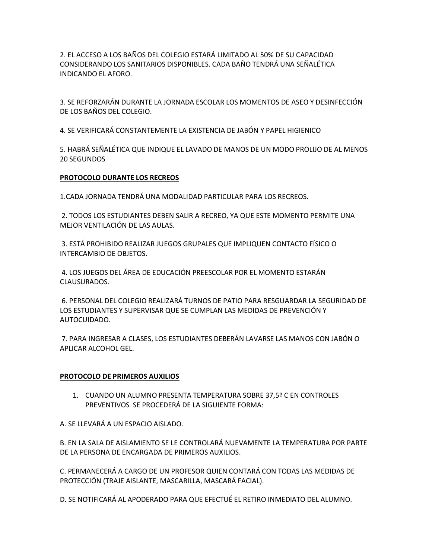2. EL ACCESO A LOS BAÑOS DEL COLEGIO ESTARÁ LIMITADO AL 50% DE SU CAPACIDAD CONSIDERANDO LOS SANITARIOS DISPONIBLES. CADA BAÑO TENDRÁ UNA SEÑALÉTICA INDICANDO EL AFORO.

3. SE REFORZARÁN DURANTE LA JORNADA ESCOLAR LOS MOMENTOS DE ASEO Y DESINFECCIÓN DE LOS BAÑOS DEL COLEGIO.

4. SE VERIFICARÁ CONSTANTEMENTE LA EXISTENCIA DE JABÓN Y PAPEL HIGIENICO

5. HABRÁ SEÑALÉTICA QUE INDIQUE EL LAVADO DE MANOS DE UN MODO PROLIJO DE AL MENOS 20 SEGUNDOS

#### **PROTOCOLO DURANTE LOS RECREOS**

1.CADA JORNADA TENDRÁ UNA MODALIDAD PARTICULAR PARA LOS RECREOS.

2. TODOS LOS ESTUDIANTES DEBEN SALIR A RECREO, YA QUE ESTE MOMENTO PERMITE UNA MEJOR VENTILACIÓN DE LAS AULAS.

3. ESTÁ PROHIBIDO REALIZAR JUEGOS GRUPALES QUE IMPLIQUEN CONTACTO FÍSICO O INTERCAMBIO DE OBJETOS.

4. LOS JUEGOS DEL ÁREA DE EDUCACIÓN PREESCOLAR POR EL MOMENTO ESTARÁN CLAUSURADOS.

6. PERSONAL DEL COLEGIO REALIZARÁ TURNOS DE PATIO PARA RESGUARDAR LA SEGURIDAD DE LOS ESTUDIANTES Y SUPERVISAR QUE SE CUMPLAN LAS MEDIDAS DE PREVENCIÓN Y AUTOCUIDADO.

7. PARA INGRESAR A CLASES, LOS ESTUDIANTES DEBERÁN LAVARSE LAS MANOS CON JABÓN O APLICAR ALCOHOL GEL.

#### **PROTOCOLO DE PRIMEROS AUXILIOS**

1. CUANDO UN ALUMNO PRESENTA TEMPERATURA SOBRE 37,5º C EN CONTROLES PREVENTIVOS SE PROCEDERÁ DE LA SIGUIENTE FORMA:

A. SE LLEVARÁ A UN ESPACIO AISLADO.

B. EN LA SALA DE AISLAMIENTO SE LE CONTROLARÁ NUEVAMENTE LA TEMPERATURA POR PARTE DE LA PERSONA DE ENCARGADA DE PRIMEROS AUXILIOS.

C. PERMANECERÁ A CARGO DE UN PROFESOR QUIEN CONTARÁ CON TODAS LAS MEDIDAS DE PROTECCIÓN (TRAJE AISLANTE, MASCARILLA, MASCARÁ FACIAL).

D. SE NOTIFICARÁ AL APODERADO PARA QUE EFECTUÉ EL RETIRO INMEDIATO DEL ALUMNO.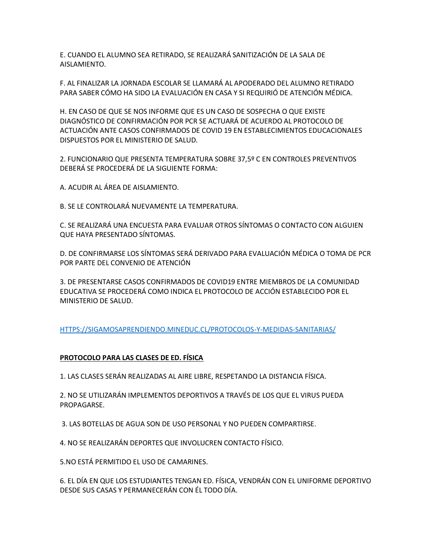E. CUANDO EL ALUMNO SEA RETIRADO, SE REALIZARÁ SANITIZACIÓN DE LA SALA DE AISLAMIENTO.

F. AL FINALIZAR LA JORNADA ESCOLAR SE LLAMARÁ AL APODERADO DEL ALUMNO RETIRADO PARA SABER CÓMO HA SIDO LA EVALUACIÓN EN CASA Y SI REQUIRIÓ DE ATENCIÓN MÉDICA.

H. EN CASO DE QUE SE NOS INFORME QUE ES UN CASO DE SOSPECHA O QUE EXISTE DIAGNÓSTICO DE CONFIRMACIÓN POR PCR SE ACTUARÁ DE ACUERDO AL PROTOCOLO DE ACTUACIÓN ANTE CASOS CONFIRMADOS DE COVID 19 EN ESTABLECIMIENTOS EDUCACIONALES DISPUESTOS POR EL MINISTERIO DE SALUD.

2. FUNCIONARIO QUE PRESENTA TEMPERATURA SOBRE 37,5º C EN CONTROLES PREVENTIVOS DEBERÁ SE PROCEDERÁ DE LA SIGUIENTE FORMA:

A. ACUDIR AL ÁREA DE AISLAMIENTO.

B. SE LE CONTROLARÁ NUEVAMENTE LA TEMPERATURA.

C. SE REALIZARÁ UNA ENCUESTA PARA EVALUAR OTROS SÍNTOMAS O CONTACTO CON ALGUIEN QUE HAYA PRESENTADO SÍNTOMAS.

D. DE CONFIRMARSE LOS SÍNTOMAS SERÁ DERIVADO PARA EVALUACIÓN MÉDICA O TOMA DE PCR POR PARTE DEL CONVENIO DE ATENCIÓN

3. DE PRESENTARSE CASOS CONFIRMADOS DE COVID19 ENTRE MIEMBROS DE LA COMUNIDAD EDUCATIVA SE PROCEDERÁ COMO INDICA EL PROTOCOLO DE ACCIÓN ESTABLECIDO POR EL MINISTERIO DE SALUD.

[HTTPS://SIGAMOSAPRENDIENDO.MINEDUC.CL/PROTOCOLOS-Y-MEDIDAS-SANITARIAS/](https://sigamosaprendiendo.mineduc.cl/protocolos-y-medidas-sanitarias/)

## **PROTOCOLO PARA LAS CLASES DE ED. FÍSICA**

1. LAS CLASES SERÁN REALIZADAS AL AIRE LIBRE, RESPETANDO LA DISTANCIA FÍSICA.

2. NO SE UTILIZARÁN IMPLEMENTOS DEPORTIVOS A TRAVÉS DE LOS QUE EL VIRUS PUEDA PROPAGARSE.

3. LAS BOTELLAS DE AGUA SON DE USO PERSONAL Y NO PUEDEN COMPARTIRSE.

4. NO SE REALIZARÁN DEPORTES QUE INVOLUCREN CONTACTO FÍSICO.

5.NO ESTÁ PERMITIDO EL USO DE CAMARINES.

6. EL DÍA EN QUE LOS ESTUDIANTES TENGAN ED. FÍSICA, VENDRÁN CON EL UNIFORME DEPORTIVO DESDE SUS CASAS Y PERMANECERÁN CON ÉL TODO DÍA.